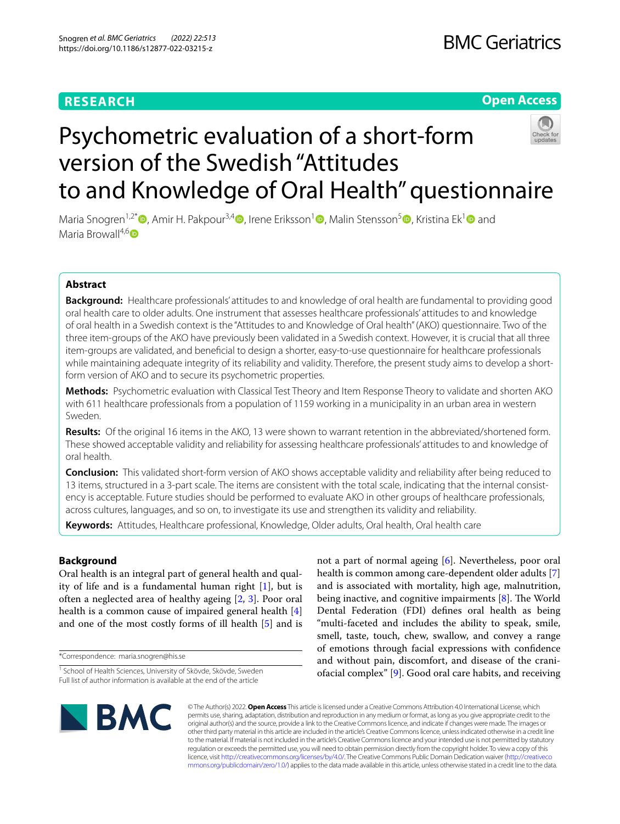# **RESEARCH**

## **Open Access**

# Psychometric evaluation of a short-form version of the Swedish "Attitudes to and Knowledge of Oral Health" questionnaire



Maria Snogren<sup>1[,](http://orcid.org/0000-0002-5236-5533)2\*</sup>  $\bullet$ , Amir H. Pakpour<sup>3,[4](http://orcid.org/0000-0002-8798-5345)</sup>  $\bullet$ , Irene Eriksson<sup>[1](http://orcid.org/0000-0002-9065-0677)</sup>  $\bullet$ , Malin Stensson<sup>5</sup>  $\bullet$ , Kristina Ek<sup>1</sup>  $\bullet$  and Maria Browall<sup>4,6</sup> $\Box$ 

## **Abstract**

**Background:** Healthcare professionals' attitudes to and knowledge of oral health are fundamental to providing good oral health care to older adults. One instrument that assesses healthcare professionals' attitudes to and knowledge of oral health in a Swedish context is the "Attitudes to and Knowledge of Oral health" (AKO) questionnaire. Two of the three item-groups of the AKO have previously been validated in a Swedish context. However, it is crucial that all three item-groups are validated, and benefcial to design a shorter, easy-to-use questionnaire for healthcare professionals while maintaining adequate integrity of its reliability and validity. Therefore, the present study aims to develop a shortform version of AKO and to secure its psychometric properties.

**Methods:** Psychometric evaluation with Classical Test Theory and Item Response Theory to validate and shorten AKO with 611 healthcare professionals from a population of 1159 working in a municipality in an urban area in western Sweden.

**Results:** Of the original 16 items in the AKO, 13 were shown to warrant retention in the abbreviated/shortened form. These showed acceptable validity and reliability for assessing healthcare professionals' attitudes to and knowledge of oral health.

**Conclusion:** This validated short-form version of AKO shows acceptable validity and reliability after being reduced to 13 items, structured in a 3-part scale. The items are consistent with the total scale, indicating that the internal consistency is acceptable. Future studies should be performed to evaluate AKO in other groups of healthcare professionals, across cultures, languages, and so on, to investigate its use and strengthen its validity and reliability.

**Keywords:** Attitudes, Healthcare professional, Knowledge, Older adults, Oral health, Oral health care

## **Background**

Oral health is an integral part of general health and quality of life and is a fundamental human right [\[1](#page-6-0)], but is often a neglected area of healthy ageing [\[2](#page-6-1), [3](#page-6-2)]. Poor oral health is a common cause of impaired general health [\[4](#page-6-3)] and one of the most costly forms of ill health [\[5](#page-6-4)] and is

\*Correspondence: maria.snogren@his.se

not a part of normal ageing [[6](#page-6-5)]. Nevertheless, poor oral health is common among care-dependent older adults [\[7](#page-6-6)] and is associated with mortality, high age, malnutrition, being inactive, and cognitive impairments  $[8]$  $[8]$ . The World Dental Federation (FDI) defnes oral health as being "multi-faceted and includes the ability to speak, smile, smell, taste, touch, chew, swallow, and convey a range of emotions through facial expressions with confdence and without pain, discomfort, and disease of the craniofacial complex" [\[9\]](#page-6-8). Good oral care habits, and receiving



© The Author(s) 2022. **Open Access** This article is licensed under a Creative Commons Attribution 4.0 International License, which permits use, sharing, adaptation, distribution and reproduction in any medium or format, as long as you give appropriate credit to the original author(s) and the source, provide a link to the Creative Commons licence, and indicate if changes were made. The images or other third party material in this article are included in the article's Creative Commons licence, unless indicated otherwise in a credit line to the material. If material is not included in the article's Creative Commons licence and your intended use is not permitted by statutory regulation or exceeds the permitted use, you will need to obtain permission directly from the copyright holder. To view a copy of this licence, visit [http://creativecommons.org/licenses/by/4.0/.](http://creativecommons.org/licenses/by/4.0/) The Creative Commons Public Domain Dedication waiver ([http://creativeco](http://creativecommons.org/publicdomain/zero/1.0/) [mmons.org/publicdomain/zero/1.0/](http://creativecommons.org/publicdomain/zero/1.0/)) applies to the data made available in this article, unless otherwise stated in a credit line to the data.

<sup>&</sup>lt;sup>1</sup> School of Health Sciences, University of Skövde, Skövde, Sweden Full list of author information is available at the end of the article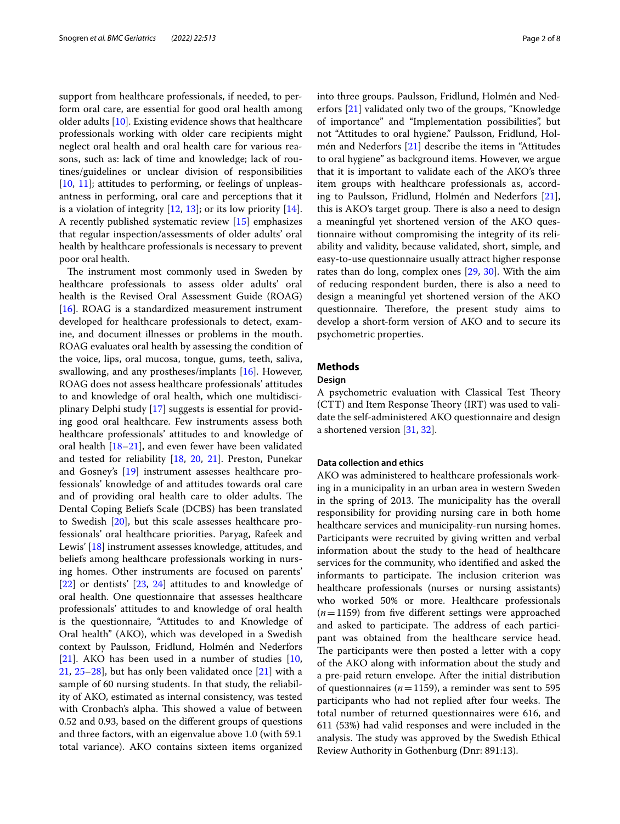support from healthcare professionals, if needed, to perform oral care, are essential for good oral health among older adults [[10](#page-6-9)]. Existing evidence shows that healthcare professionals working with older care recipients might neglect oral health and oral health care for various reasons, such as: lack of time and knowledge; lack of routines/guidelines or unclear division of responsibilities [[10,](#page-6-9) [11](#page-6-10)]; attitudes to performing, or feelings of unpleasantness in performing, oral care and perceptions that it is a violation of integrity  $[12, 13]$  $[12, 13]$  $[12, 13]$  $[12, 13]$  $[12, 13]$ ; or its low priority  $[14]$  $[14]$ . A recently published systematic review [[15\]](#page-7-2) emphasizes that regular inspection/assessments of older adults' oral health by healthcare professionals is necessary to prevent poor oral health.

The instrument most commonly used in Sweden by healthcare professionals to assess older adults' oral health is the Revised Oral Assessment Guide (ROAG) [[16\]](#page-7-3). ROAG is a standardized measurement instrument developed for healthcare professionals to detect, examine, and document illnesses or problems in the mouth. ROAG evaluates oral health by assessing the condition of the voice, lips, oral mucosa, tongue, gums, teeth, saliva, swallowing, and any prostheses/implants [\[16](#page-7-3)]. However, ROAG does not assess healthcare professionals' attitudes to and knowledge of oral health, which one multidisciplinary Delphi study [[17](#page-7-4)] suggests is essential for providing good oral healthcare. Few instruments assess both healthcare professionals' attitudes to and knowledge of oral health  $[18–21]$  $[18–21]$  $[18–21]$  $[18–21]$ , and even fewer have been validated and tested for reliability [[18,](#page-7-5) [20,](#page-7-7) [21](#page-7-6)]. Preston, Punekar and Gosney's [[19\]](#page-7-8) instrument assesses healthcare professionals' knowledge of and attitudes towards oral care and of providing oral health care to older adults. The Dental Coping Beliefs Scale (DCBS) has been translated to Swedish [[20\]](#page-7-7), but this scale assesses healthcare professionals' oral healthcare priorities. Paryag, Rafeek and Lewis' [[18\]](#page-7-5) instrument assesses knowledge, attitudes, and beliefs among healthcare professionals working in nursing homes. Other instruments are focused on parents' [[22\]](#page-7-9) or dentists' [[23,](#page-7-10) [24\]](#page-7-11) attitudes to and knowledge of oral health. One questionnaire that assesses healthcare professionals' attitudes to and knowledge of oral health is the questionnaire, "Attitudes to and Knowledge of Oral health" (AKO), which was developed in a Swedish context by Paulsson, Fridlund, Holmén and Nederfors [[21\]](#page-7-6). AKO has been used in a number of studies [\[10](#page-6-9), [21,](#page-7-6) [25–](#page-7-12)[28](#page-7-13)], but has only been validated once [[21\]](#page-7-6) with a sample of 60 nursing students. In that study, the reliability of AKO, estimated as internal consistency, was tested with Cronbach's alpha. This showed a value of between 0.52 and 0.93, based on the diferent groups of questions and three factors, with an eigenvalue above 1.0 (with 59.1 total variance). AKO contains sixteen items organized into three groups. Paulsson, Fridlund, Holmén and Nederfors [[21](#page-7-6)] validated only two of the groups, "Knowledge of importance" and "Implementation possibilities", but not "Attitudes to oral hygiene." Paulsson, Fridlund, Holmén and Nederfors [[21\]](#page-7-6) describe the items in "Attitudes to oral hygiene" as background items. However, we argue that it is important to validate each of the AKO's three item groups with healthcare professionals as, according to Paulsson, Fridlund, Holmén and Nederfors [\[21](#page-7-6)], this is AKO's target group. There is also a need to design a meaningful yet shortened version of the AKO questionnaire without compromising the integrity of its reliability and validity, because validated, short, simple, and easy-to-use questionnaire usually attract higher response rates than do long, complex ones [\[29](#page-7-14), [30\]](#page-7-15). With the aim of reducing respondent burden, there is also a need to design a meaningful yet shortened version of the AKO questionnaire. Therefore, the present study aims to develop a short-form version of AKO and to secure its psychometric properties.

## **Methods**

## **Design**

A psychometric evaluation with Classical Test Theory  $(CTT)$  and Item Response Theory (IRT) was used to validate the self-administered AKO questionnaire and design a shortened version [\[31](#page-7-16), [32](#page-7-17)].

## **Data collection and ethics**

AKO was administered to healthcare professionals working in a municipality in an urban area in western Sweden in the spring of 2013. The municipality has the overall responsibility for providing nursing care in both home healthcare services and municipality-run nursing homes. Participants were recruited by giving written and verbal information about the study to the head of healthcare services for the community, who identifed and asked the informants to participate. The inclusion criterion was healthcare professionals (nurses or nursing assistants) who worked 50% or more. Healthcare professionals  $(n=1159)$  from five different settings were approached and asked to participate. The address of each participant was obtained from the healthcare service head. The participants were then posted a letter with a copy of the AKO along with information about the study and a pre-paid return envelope. After the initial distribution of questionnaires ( $n=1159$ ), a reminder was sent to 595 participants who had not replied after four weeks. The total number of returned questionnaires were 616, and 611 (53%) had valid responses and were included in the analysis. The study was approved by the Swedish Ethical Review Authority in Gothenburg (Dnr: 891:13).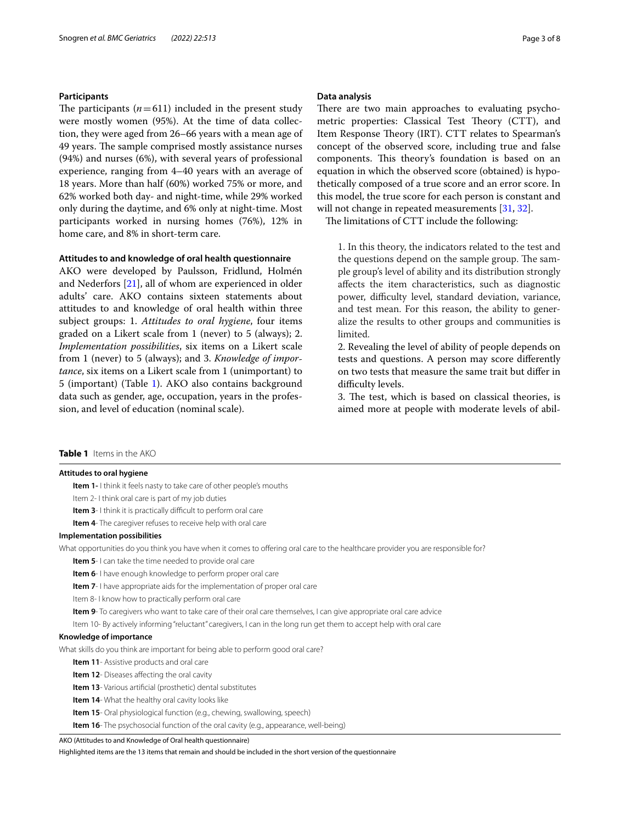## **Participants**

The participants  $(n=611)$  included in the present study were mostly women (95%). At the time of data collection, they were aged from 26–66 years with a mean age of 49 years. The sample comprised mostly assistance nurses (94%) and nurses (6%), with several years of professional experience, ranging from 4–40 years with an average of 18 years. More than half (60%) worked 75% or more, and 62% worked both day- and night-time, while 29% worked only during the daytime, and 6% only at night-time. Most participants worked in nursing homes (76%), 12% in home care, and 8% in short-term care.

## **Attitudes to and knowledge of oral health questionnaire**

AKO were developed by Paulsson, Fridlund, Holmén and Nederfors [[21\]](#page-7-6), all of whom are experienced in older adults' care. AKO contains sixteen statements about attitudes to and knowledge of oral health within three subject groups: 1. *Attitudes to oral hygiene*, four items graded on a Likert scale from 1 (never) to 5 (always); 2. *Implementation possibilities*, six items on a Likert scale from 1 (never) to 5 (always); and 3. *Knowledge of importance*, six items on a Likert scale from 1 (unimportant) to 5 (important) (Table [1\)](#page-2-0). AKO also contains background data such as gender, age, occupation, years in the profession, and level of education (nominal scale).

#### **Data analysis**

There are two main approaches to evaluating psychometric properties: Classical Test Theory (CTT), and Item Response Theory (IRT). CTT relates to Spearman's concept of the observed score, including true and false components. This theory's foundation is based on an equation in which the observed score (obtained) is hypothetically composed of a true score and an error score. In this model, the true score for each person is constant and will not change in repeated measurements [[31,](#page-7-16) [32\]](#page-7-17).

The limitations of CTT include the following:

1. In this theory, the indicators related to the test and the questions depend on the sample group. The sample group's level of ability and its distribution strongly afects the item characteristics, such as diagnostic power, difficulty level, standard deviation, variance, and test mean. For this reason, the ability to generalize the results to other groups and communities is limited.

2. Revealing the level of ability of people depends on tests and questions. A person may score diferently on two tests that measure the same trait but difer in difficulty levels.

3. The test, which is based on classical theories, is aimed more at people with moderate levels of abil-

## <span id="page-2-0"></span>**Table 1** Items in the AKO

#### **Attitudes to oral hygiene**

**Item 1-** I think it feels nasty to take care of other people's mouths

Item 2- I think oral care is part of my job duties

- **Item 3** I think it is practically difficult to perform oral care
- **Item 4-** The caregiver refuses to receive help with oral care

### **Implementation possibilities**

What opportunities do you think you have when it comes to offering oral care to the healthcare provider you are responsible for?

- **Item 5** I can take the time needed to provide oral care
- **Item 6** I have enough knowledge to perform proper oral care
- **Item 7-** I have appropriate aids for the implementation of proper oral care
- Item 8- I know how to practically perform oral care
- **Item 9** To caregivers who want to take care of their oral care themselves, I can give appropriate oral care advice
- Item 10- By actively informing "reluctant" caregivers, I can in the long run get them to accept help with oral care

#### **Knowledge of importance**

What skills do you think are important for being able to perform good oral care?

**Item 11**- Assistive products and oral care

- **Item 12** Diseases affecting the oral cavity
- **Item 13** Various artificial (prosthetic) dental substitutes
- **Item 14-** What the healthy oral cavity looks like

**Item 15**- Oral physiological function (e.g., chewing, swallowing, speech)

**Item 16**- The psychosocial function of the oral cavity (e.g., appearance, well-being)

AKO (Attitudes to and Knowledge of Oral health questionnaire)

Highlighted items are the 13 items that remain and should be included in the short version of the questionnaire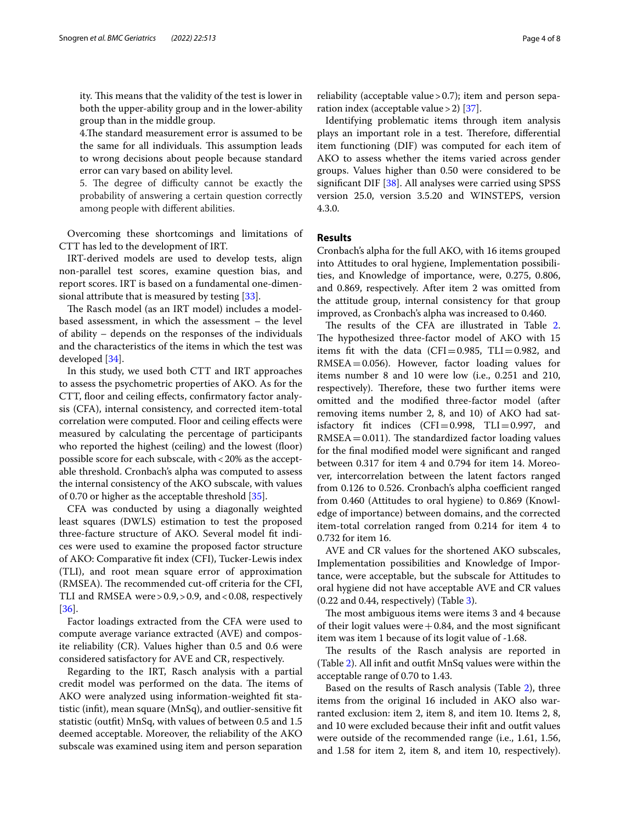ity. This means that the validity of the test is lower in both the upper-ability group and in the lower-ability group than in the middle group.

4. The standard measurement error is assumed to be the same for all individuals. This assumption leads to wrong decisions about people because standard error can vary based on ability level.

5. The degree of difficulty cannot be exactly the probability of answering a certain question correctly among people with diferent abilities.

Overcoming these shortcomings and limitations of CTT has led to the development of IRT.

IRT-derived models are used to develop tests, align non-parallel test scores, examine question bias, and report scores. IRT is based on a fundamental one-dimensional attribute that is measured by testing [\[33](#page-7-18)].

The Rasch model (as an IRT model) includes a modelbased assessment, in which the assessment – the level of ability – depends on the responses of the individuals and the characteristics of the items in which the test was developed [\[34\]](#page-7-19).

In this study, we used both CTT and IRT approaches to assess the psychometric properties of AKO. As for the CTT, floor and ceiling effects, confirmatory factor analysis (CFA), internal consistency, and corrected item-total correlation were computed. Floor and ceiling efects were measured by calculating the percentage of participants who reported the highest (ceiling) and the lowest (floor) possible score for each subscale, with<20% as the acceptable threshold. Cronbach's alpha was computed to assess the internal consistency of the AKO subscale, with values of 0.70 or higher as the acceptable threshold [[35\]](#page-7-20).

CFA was conducted by using a diagonally weighted least squares (DWLS) estimation to test the proposed three-facture structure of AKO. Several model ft indices were used to examine the proposed factor structure of AKO: Comparative ft index (CFI), Tucker-Lewis index (TLI), and root mean square error of approximation (RMSEA). The recommended cut-off criteria for the CFI, TLI and RMSEA were > 0.9, > 0.9, and < 0.08, respectively [[36\]](#page-7-21).

Factor loadings extracted from the CFA were used to compute average variance extracted (AVE) and composite reliability (CR). Values higher than 0.5 and 0.6 were considered satisfactory for AVE and CR, respectively.

Regarding to the IRT, Rasch analysis with a partial credit model was performed on the data. The items of AKO were analyzed using information-weighted ft statistic (inft), mean square (MnSq), and outlier-sensitive ft statistic (outft) MnSq, with values of between 0.5 and 1.5 deemed acceptable. Moreover, the reliability of the AKO subscale was examined using item and person separation

reliability (acceptable value > 0.7); item and person separation index (acceptable value  $>$  2) [[37\]](#page-7-22).

Identifying problematic items through item analysis plays an important role in a test. Therefore, differential item functioning (DIF) was computed for each item of AKO to assess whether the items varied across gender groups. Values higher than 0.50 were considered to be signifcant DIF [\[38\]](#page-7-23). All analyses were carried using SPSS version 25.0, version 3.5.20 and WINSTEPS, version 4.3.0.

## **Results**

Cronbach's alpha for the full AKO, with 16 items grouped into Attitudes to oral hygiene, Implementation possibilities, and Knowledge of importance, were, 0.275, 0.806, and 0.869, respectively. After item 2 was omitted from the attitude group, internal consistency for that group improved, as Cronbach's alpha was increased to 0.460.

The results of the CFA are illustrated in Table [2](#page-4-0). The hypothesized three-factor model of AKO with 15 items fit with the data (CFI=0.985, TLI=0.982, and RMSEA=0.056). However, factor loading values for items number 8 and 10 were low (i.e., 0.251 and 210, respectively). Therefore, these two further items were omitted and the modifed three-factor model (after removing items number 2, 8, and 10) of AKO had satisfactory fit indices  $(CFI=0.998, TLI=0.997, and$  $RMSEA = 0.011$ ). The standardized factor loading values for the fnal modifed model were signifcant and ranged between 0.317 for item 4 and 0.794 for item 14. Moreover, intercorrelation between the latent factors ranged from 0.126 to 0.526. Cronbach's alpha coefficient ranged from 0.460 (Attitudes to oral hygiene) to 0.869 (Knowledge of importance) between domains, and the corrected item-total correlation ranged from 0.214 for item 4 to 0.732 for item 16.

AVE and CR values for the shortened AKO subscales, Implementation possibilities and Knowledge of Importance, were acceptable, but the subscale for Attitudes to oral hygiene did not have acceptable AVE and CR values (0.22 and 0.44, respectively) (Table [3\)](#page-4-1).

The most ambiguous items were items 3 and 4 because of their logit values were  $+0.84$ , and the most significant item was item 1 because of its logit value of -1.68.

The results of the Rasch analysis are reported in (Table [2](#page-4-0)). All inft and outft MnSq values were within the acceptable range of 0.70 to 1.43.

Based on the results of Rasch analysis (Table [2\)](#page-4-0), three items from the original 16 included in AKO also warranted exclusion: item 2, item 8, and item 10. Items 2, 8, and 10 were excluded because their inft and outft values were outside of the recommended range (i.e., 1.61, 1.56, and 1.58 for item 2, item 8, and item 10, respectively).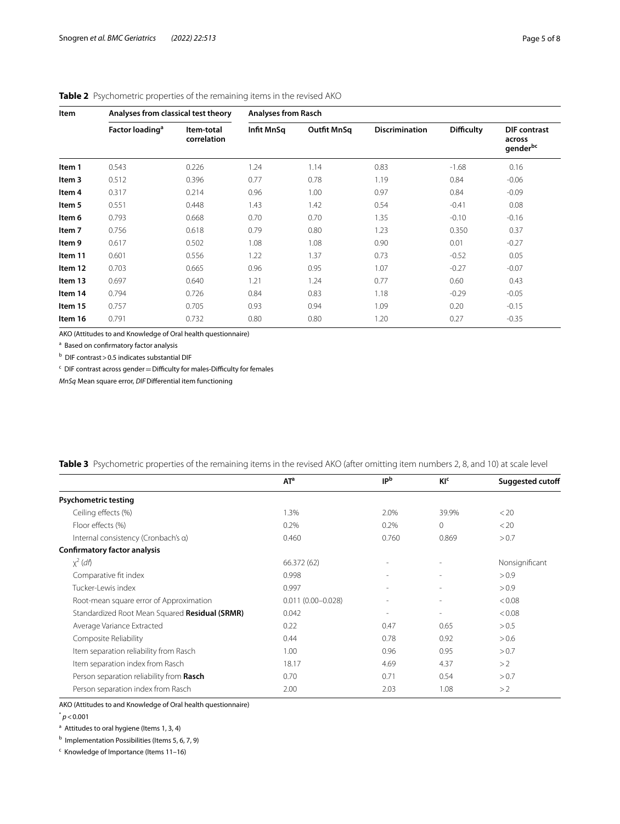| Item    | Analyses from classical test theory |                           | <b>Analyses from Rasch</b> |                    |                       |                   |                                                       |
|---------|-------------------------------------|---------------------------|----------------------------|--------------------|-----------------------|-------------------|-------------------------------------------------------|
|         | Factor loading <sup>a</sup>         | Item-total<br>correlation | Infit MnSq                 | <b>Outfit MnSq</b> | <b>Discrimination</b> | <b>Difficulty</b> | <b>DIF</b> contrast<br>across<br>gender <sup>bc</sup> |
| Item 1  | 0.543                               | 0.226                     | 1.24                       | 1.14               | 0.83                  | $-1.68$           | 0.16                                                  |
| Item 3  | 0.512                               | 0.396                     | 0.77                       | 0.78               | 1.19                  | 0.84              | $-0.06$                                               |
| Item 4  | 0.317                               | 0.214                     | 0.96                       | 1.00               | 0.97                  | 0.84              | $-0.09$                                               |
| Item 5  | 0.551                               | 0.448                     | 1.43                       | 1.42               | 0.54                  | $-0.41$           | 0.08                                                  |
| Item 6  | 0.793                               | 0.668                     | 0.70                       | 0.70               | 1.35                  | $-0.10$           | $-0.16$                                               |
| Item 7  | 0.756                               | 0.618                     | 0.79                       | 0.80               | 1.23                  | 0.350             | 0.37                                                  |
| Item 9  | 0.617                               | 0.502                     | 1.08                       | 1.08               | 0.90                  | 0.01              | $-0.27$                                               |
| Item 11 | 0.601                               | 0.556                     | 1.22                       | 1.37               | 0.73                  | $-0.52$           | 0.05                                                  |
| Item 12 | 0.703                               | 0.665                     | 0.96                       | 0.95               | 1.07                  | $-0.27$           | $-0.07$                                               |
| Item 13 | 0.697                               | 0.640                     | 1.21                       | 1.24               | 0.77                  | 0.60              | 0.43                                                  |
| Item 14 | 0.794                               | 0.726                     | 0.84                       | 0.83               | 1.18                  | $-0.29$           | $-0.05$                                               |
| Item 15 | 0.757                               | 0.705                     | 0.93                       | 0.94               | 1.09                  | 0.20              | $-0.15$                                               |
| Item 16 | 0.791                               | 0.732                     | 0.80                       | 0.80               | 1.20                  | 0.27              | $-0.35$                                               |

## <span id="page-4-0"></span>**Table 2** Psychometric properties of the remaining items in the revised AKO

AKO (Attitudes to and Knowledge of Oral health questionnaire)

<sup>a</sup> Based on confirmatory factor analysis

<sup>b</sup> DIF contrast > 0.5 indicates substantial DIF

 $\epsilon$  DIF contrast across gender = Difficulty for males-Difficulty for females

*MnSq* Mean square error, *DIF*Diferential item functioning

| Nonsignificant  |
|-----------------|
|                 |
|                 |
|                 |
|                 |
|                 |
|                 |
|                 |
|                 |
|                 |
|                 |
| < 0.08<br>&0.08 |

<span id="page-4-1"></span>**Table 3** Psychometric properties of the remaining items in the revised AKO (after omitting item numbers 2, 8, and 10) at scale level

AKO (Attitudes to and Knowledge of Oral health questionnaire)

 $p$  < 0.001

<sup>a</sup> Attitudes to oral hygiene (Items 1, 3, 4)

<sup>b</sup> Implementation Possibilities (Items 5, 6, 7, 9)

<sup>c</sup> Knowledge of Importance (Items 11-16)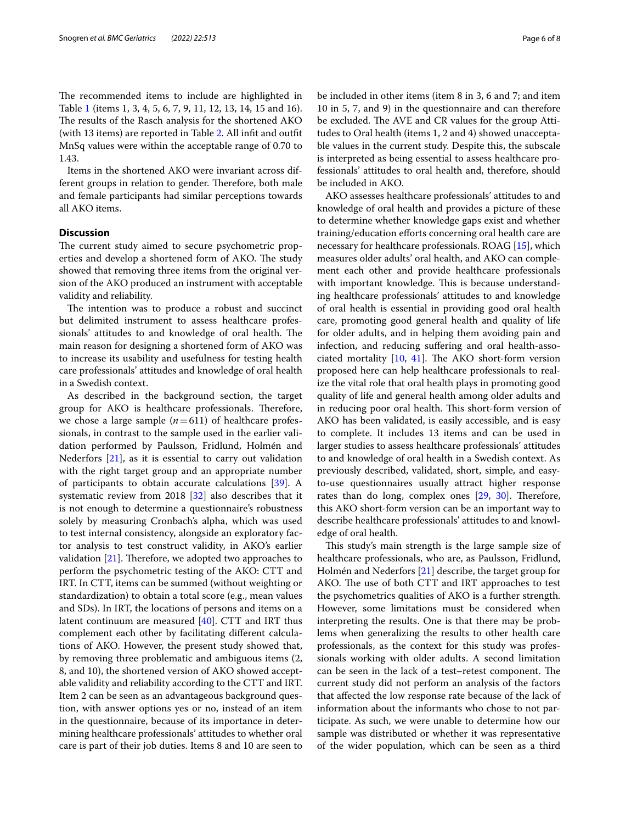The recommended items to include are highlighted in Table [1](#page-2-0) (items 1, 3, 4, 5, 6, 7, 9, 11, 12, 13, 14, 15 and 16). The results of the Rasch analysis for the shortened AKO (with 13 items) are reported in Table [2.](#page-4-0) All inft and outft MnSq values were within the acceptable range of 0.70 to 1.43.

Items in the shortened AKO were invariant across different groups in relation to gender. Therefore, both male and female participants had similar perceptions towards all AKO items.

## **Discussion**

The current study aimed to secure psychometric properties and develop a shortened form of AKO. The study showed that removing three items from the original version of the AKO produced an instrument with acceptable validity and reliability.

The intention was to produce a robust and succinct but delimited instrument to assess healthcare professionals' attitudes to and knowledge of oral health. The main reason for designing a shortened form of AKO was to increase its usability and usefulness for testing health care professionals' attitudes and knowledge of oral health in a Swedish context.

As described in the background section, the target group for AKO is healthcare professionals. Therefore, we chose a large sample  $(n=611)$  of healthcare professionals, in contrast to the sample used in the earlier validation performed by Paulsson, Fridlund, Holmén and Nederfors [[21\]](#page-7-6), as it is essential to carry out validation with the right target group and an appropriate number of participants to obtain accurate calculations [\[39](#page-7-24)]. A systematic review from 2018 [\[32](#page-7-17)] also describes that it is not enough to determine a questionnaire's robustness solely by measuring Cronbach's alpha, which was used to test internal consistency, alongside an exploratory factor analysis to test construct validity, in AKO's earlier validation  $[21]$  $[21]$ . Therefore, we adopted two approaches to perform the psychometric testing of the AKO: CTT and IRT. In CTT, items can be summed (without weighting or standardization) to obtain a total score (e.g., mean values and SDs). In IRT, the locations of persons and items on a latent continuum are measured [[40](#page-7-25)]. CTT and IRT thus complement each other by facilitating diferent calculations of AKO. However, the present study showed that, by removing three problematic and ambiguous items (2, 8, and 10), the shortened version of AKO showed acceptable validity and reliability according to the CTT and IRT. Item 2 can be seen as an advantageous background question, with answer options yes or no, instead of an item in the questionnaire, because of its importance in determining healthcare professionals' attitudes to whether oral care is part of their job duties. Items 8 and 10 are seen to be included in other items (item 8 in 3, 6 and 7; and item 10 in 5, 7, and 9) in the questionnaire and can therefore be excluded. The AVE and CR values for the group Attitudes to Oral health (items 1, 2 and 4) showed unacceptable values in the current study. Despite this, the subscale is interpreted as being essential to assess healthcare professionals' attitudes to oral health and, therefore, should be included in AKO.

AKO assesses healthcare professionals' attitudes to and knowledge of oral health and provides a picture of these to determine whether knowledge gaps exist and whether training/education efforts concerning oral health care are necessary for healthcare professionals. ROAG [\[15](#page-7-2)], which measures older adults' oral health, and AKO can complement each other and provide healthcare professionals with important knowledge. This is because understanding healthcare professionals' attitudes to and knowledge of oral health is essential in providing good oral health care, promoting good general health and quality of life for older adults, and in helping them avoiding pain and infection, and reducing sufering and oral health-associated mortality  $[10, 41]$  $[10, 41]$  $[10, 41]$  $[10, 41]$  $[10, 41]$ . The AKO short-form version proposed here can help healthcare professionals to realize the vital role that oral health plays in promoting good quality of life and general health among older adults and in reducing poor oral health. This short-form version of AKO has been validated, is easily accessible, and is easy to complete. It includes 13 items and can be used in larger studies to assess healthcare professionals' attitudes to and knowledge of oral health in a Swedish context. As previously described, validated, short, simple, and easyto-use questionnaires usually attract higher response rates than do long, complex ones [[29](#page-7-14), [30](#page-7-15)]. Therefore, this AKO short-form version can be an important way to describe healthcare professionals' attitudes to and knowledge of oral health.

This study's main strength is the large sample size of healthcare professionals, who are, as Paulsson, Fridlund, Holmén and Nederfors [[21](#page-7-6)] describe, the target group for AKO. The use of both CTT and IRT approaches to test the psychometrics qualities of AKO is a further strength. However, some limitations must be considered when interpreting the results. One is that there may be problems when generalizing the results to other health care professionals, as the context for this study was professionals working with older adults. A second limitation can be seen in the lack of a test–retest component. The current study did not perform an analysis of the factors that afected the low response rate because of the lack of information about the informants who chose to not participate. As such, we were unable to determine how our sample was distributed or whether it was representative of the wider population, which can be seen as a third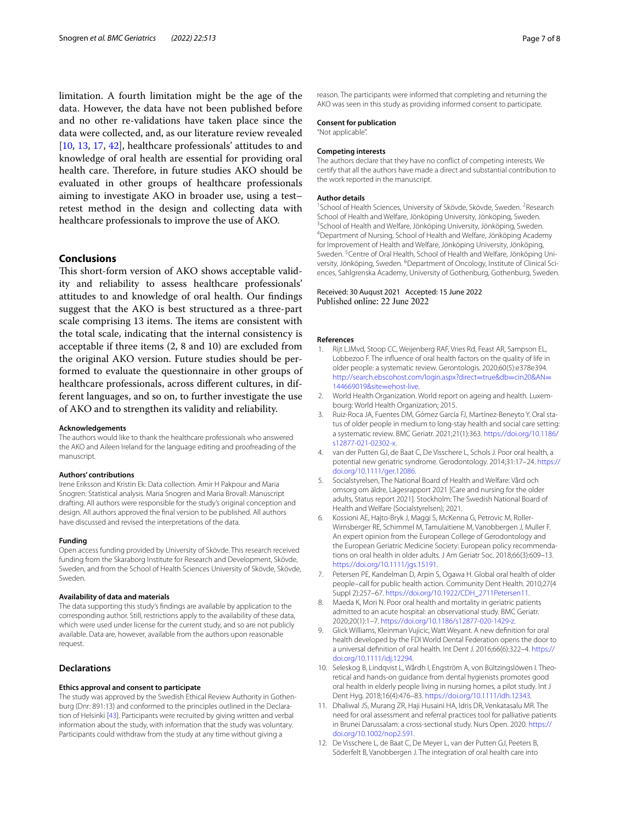limitation. A fourth limitation might be the age of the data. However, the data have not been published before and no other re-validations have taken place since the data were collected, and, as our literature review revealed [[10,](#page-6-9) [13,](#page-7-0) [17](#page-7-4), [42](#page-7-27)], healthcare professionals' attitudes to and knowledge of oral health are essential for providing oral health care. Therefore, in future studies AKO should be evaluated in other groups of healthcare professionals aiming to investigate AKO in broader use, using a test– retest method in the design and collecting data with healthcare professionals to improve the use of AKO.

## **Conclusions**

This short-form version of AKO shows acceptable validity and reliability to assess healthcare professionals' attitudes to and knowledge of oral health. Our fndings suggest that the AKO is best structured as a three-part scale comprising 13 items. The items are consistent with the total scale, indicating that the internal consistency is acceptable if three items (2, 8 and 10) are excluded from the original AKO version. Future studies should be performed to evaluate the questionnaire in other groups of healthcare professionals, across diferent cultures, in different languages, and so on, to further investigate the use of AKO and to strengthen its validity and reliability.

#### **Acknowledgements**

The authors would like to thank the healthcare professionals who answered the AKO and Aileen Ireland for the language editing and proofreading of the manuscript.

#### **Authors' contributions**

Irene Eriksson and Kristin Ek: Data collection. Amir H Pakpour and Maria Snogren: Statistical analysis. Maria Snogren and Maria Brovall: Manuscript drafting. All authors were responsible for the study's original conception and design. All authors approved the fnal version to be published. All authors have discussed and revised the interpretations of the data.

#### **Funding**

Open access funding provided by University of Skövde. This research received funding from the Skaraborg Institute for Research and Development, Skövde, Sweden, and from the School of Health Sciences University of Skövde, Skövde, Sweden.

#### **Availability of data and materials**

The data supporting this study's fndings are available by application to the corresponding author. Still, restrictions apply to the availability of these data, which were used under license for the current study, and so are not publicly available. Data are, however, available from the authors upon reasonable request.

### **Declarations**

#### **Ethics approval and consent to participate**

The study was approved by the Swedish Ethical Review Authority in Gothenburg (Dnr: 891:13) and conformed to the principles outlined in the Declaration of Helsinki [[43](#page-7-28)]. Participants were recruited by giving written and verbal information about the study, with information that the study was voluntary. Participants could withdraw from the study at any time without giving a

reason. The participants were informed that completing and returning the AKO was seen in this study as providing informed consent to participate.

## **Consent for publication**

"Not applicable".

#### **Competing interests**

The authors declare that they have no confict of competing interests. We certify that all the authors have made a direct and substantial contribution to the work reported in the manuscript.

#### **Author details**

<sup>1</sup> School of Health Sciences, University of Skövde, Skövde, Sweden. <sup>2</sup> Research School of Health and Welfare, Jönköping University, Jönköping, Sweden. <sup>3</sup> School of Health and Welfare, Jönköping University, Jönköping, Sweden. <sup>4</sup>Department of Nursing, School of Health and Welfare, Jönköping Academy for Improvement of Health and Welfare, Jönköping University, Jönköping, Sweden.<sup>5</sup> Centre of Oral Health, School of Health and Welfare, Jönköping University, Jönköping, Sweden. <sup>6</sup>Department of Oncology, Institute of Clinical Sciences, Sahlgrenska Academy, University of Gothenburg, Gothenburg, Sweden.

## Received: 30 August 2021 Accepted: 15 June 2022 Published online: 22 June 2022

#### **References**

- <span id="page-6-0"></span>1. Rijt LJMvd, Stoop CC, Weijenberg RAF, Vries Rd, Feast AR, Sampson EL, Lobbezoo F. The infuence of oral health factors on the quality of life in older people: a systematic review. Gerontologis. 2020;60(5):e378e394. [http://search.ebscohost.com/login.aspx?direct](http://search.ebscohost.com/login.aspx?direct=true&db=cin20&AN=144669019&site=ehost-live)=true&db=cin20&AN= [144669019&site](http://search.ebscohost.com/login.aspx?direct=true&db=cin20&AN=144669019&site=ehost-live)=ehost-live.
- <span id="page-6-1"></span>2. World Health Organization. World report on ageing and health. Luxembourg: World Health Organization; 2015.
- <span id="page-6-2"></span>3. Ruiz-Roca JA, Fuentes DM, Gómez García FJ, Martínez-Beneyto Y. Oral status of older people in medium to long-stay health and social care setting: a systematic review. BMC Geriatr. 2021;21(1):363. [https://doi.org/10.1186/](https://doi.org/10.1186/s12877-021-02302-x) [s12877-021-02302-x](https://doi.org/10.1186/s12877-021-02302-x).
- <span id="page-6-3"></span>4. van der Putten GJ, de Baat C, De Visschere L, Schols J. Poor oral health, a potential new geriatric syndrome. Gerodontology. 2014;31:17–24. [https://](https://doi.org/10.1111/ger.12086) [doi.org/10.1111/ger.12086.](https://doi.org/10.1111/ger.12086)
- <span id="page-6-4"></span>5. Socialstyrelsen, The National Board of Health and Welfare: Vård och omsorg om äldre, Lägesrapport 2021 [Care and nursing for the older adults, Status report 2021]. Stockholm: The Swedish National Board of Health and Welfare (Socialstyrelsen); 2021.
- <span id="page-6-5"></span>6. Kossioni AE, Hajto-Bryk J, Maggi S, McKenna G, Petrovic M, Roller-Wirnsberger RE, Schimmel M, Tamulaitiene M, Vanobbergen J, Muller F. An expert opinion from the European College of Gerodontology and the European Geriatric Medicine Society: European policy recommendations on oral health in older adults. J Am Geriatr Soc. 2018;66(3):609–13. [https://doi.org/10.1111/jgs.15191.](https://doi.org/10.1111/jgs.15191)
- <span id="page-6-6"></span>7. Petersen PE, Kandelman D, Arpin S, Ogawa H. Global oral health of older people–call for public health action. Community Dent Health. 2010;27(4 Suppl 2):257–67. [https://doi.org/10.1922/CDH\\_2711Petersen11.](https://doi.org/10.1922/CDH_2711Petersen11)
- <span id="page-6-7"></span>8. Maeda K, Mori N. Poor oral health and mortality in geriatric patients admitted to an acute hospital: an observational study. BMC Geriatr. 2020;20(1):1–7. <https://doi.org/10.1186/s12877-020-1429-z>.
- <span id="page-6-8"></span>Glick Williams, Kleinman Vujicic, Watt Weyant. A new definition for oral health developed by the FDI World Dental Federation opens the door to a universal defnition of oral health. Int Dent J. 2016;66(6):322–4. [https://](https://doi.org/10.1111/idj.12294) [doi.org/10.1111/idj.12294](https://doi.org/10.1111/idj.12294).
- <span id="page-6-9"></span>10. Seleskog B, Lindqvist L, Wårdh I, Engström A, von Bültzingslöwen I. Theoretical and hands-on guidance from dental hygienists promotes good oral health in elderly people living in nursing homes, a pilot study. Int J Dent Hyg. 2018;16(4):476–83. [https://doi.org/10.1111/idh.12343.](https://doi.org/10.1111/idh.12343)
- <span id="page-6-10"></span>11. Dhaliwal JS, Murang ZR, Haji Husaini HA, Idris DR, Venkatasalu MR. The need for oral assessment and referral practices tool for palliative patients in Brunei Darussalam: a cross-sectional study. Nurs Open. 2020. [https://](https://doi.org/10.1002/nop2.591) [doi.org/10.1002/nop2.591.](https://doi.org/10.1002/nop2.591)
- <span id="page-6-11"></span>12. De Visschere L, de Baat C, De Meyer L, van der Putten GJ, Peeters B, Söderfelt B, Vanobbergen J. The integration of oral health care into